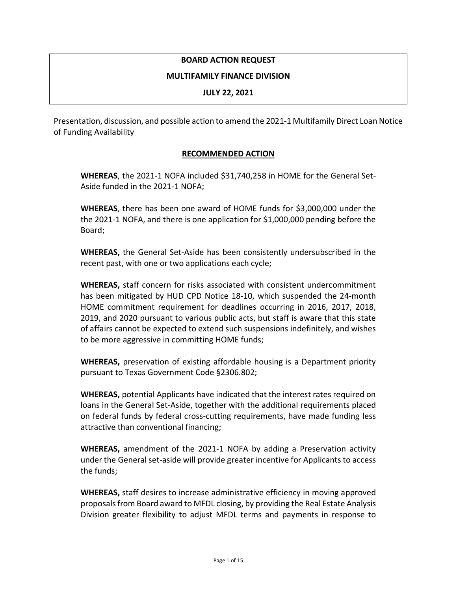### **BOARD ACTION REQUEST**

#### **MULTIFAMILY FINANCE DIVISION**

#### **JULY 22, 2021**

Presentation, discussion, and possible action to amend the 2021-1 Multifamily Direct Loan Notice of Funding Availability

### **RECOMMENDED ACTION**

**WHEREAS**, the 2021-1 NOFA included \$31,740,258 in HOME for the General Set-Aside funded in the 2021-1 NOFA;

**WHEREAS**, there has been one award of HOME funds for \$3,000,000 under the the 2021-1 NOFA, and there is one application for \$1,000,000 pending before the Board;

**WHEREAS,** the General Set-Aside has been consistently undersubscribed in the recent past, with one or two applications each cycle;

**WHEREAS,** staff concern for risks associated with consistent undercommitment has been mitigated by HUD CPD Notice 18-10, which suspended the 24-month HOME commitment requirement for deadlines occurring in 2016, 2017, 2018, 2019, and 2020 pursuant to various public acts, but staff is aware that this state of affairs cannot be expected to extend such suspensions indefinitely, and wishes to be more aggressive in committing HOME funds;

**WHEREAS,** preservation of existing affordable housing is a Department priority pursuant to Texas Government Code §2306.802;

**WHEREAS,** potential Applicants have indicated that the interest rates required on loans in the General Set-Aside, together with the additional requirements placed on federal funds by federal cross-cutting requirements, have made funding less attractive than conventional financing;

**WHEREAS,** amendment of the 2021-1 NOFA by adding a Preservation activity under the General set-aside will provide greater incentive for Applicants to access the funds;

**WHEREAS,** staff desires to increase administrative efficiency in moving approved proposals from Board award to MFDL closing, by providing the Real Estate Analysis Division greater flexibility to adjust MFDL terms and payments in response to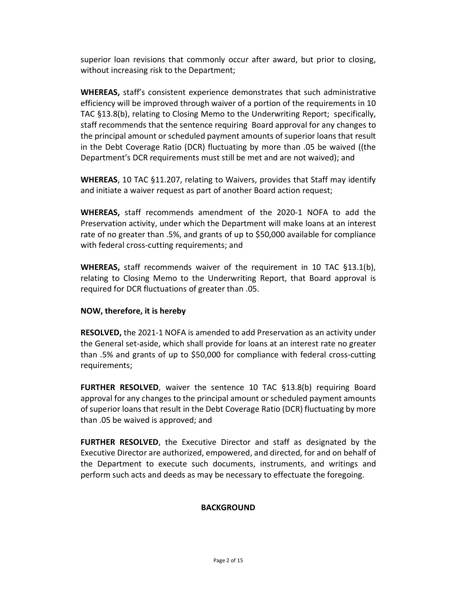superior loan revisions that commonly occur after award, but prior to closing, without increasing risk to the Department;

**WHEREAS,** staff's consistent experience demonstrates that such administrative efficiency will be improved through waiver of a portion of the requirements in 10 TAC §13.8(b), relating to Closing Memo to the Underwriting Report; specifically, staff recommends that the sentence requiring Board approval for any changes to the principal amount or scheduled payment amounts of superior loans that result in the Debt Coverage Ratio (DCR) fluctuating by more than .05 be waived ((the Department's DCR requirements must still be met and are not waived); and

**WHEREAS**, 10 TAC §11.207, relating to Waivers, provides that Staff may identify and initiate a waiver request as part of another Board action request;

**WHEREAS,** staff recommends amendment of the 2020-1 NOFA to add the Preservation activity, under which the Department will make loans at an interest rate of no greater than .5%, and grants of up to \$50,000 available for compliance with federal cross-cutting requirements; and

**WHEREAS,** staff recommends waiver of the requirement in 10 TAC §13.1(b), relating to Closing Memo to the Underwriting Report, that Board approval is required for DCR fluctuations of greater than .05.

### **NOW, therefore, it is hereby**

**RESOLVED,** the 2021-1 NOFA is amended to add Preservation as an activity under the General set-aside, which shall provide for loans at an interest rate no greater than .5% and grants of up to \$50,000 for compliance with federal cross-cutting requirements;

**FURTHER RESOLVED**, waiver the sentence 10 TAC §13.8(b) requiring Board approval for any changes to the principal amount or scheduled payment amounts of superior loans that result in the Debt Coverage Ratio (DCR) fluctuating by more than .05 be waived is approved; and

**FURTHER RESOLVED**, the Executive Director and staff as designated by the Executive Director are authorized, empowered, and directed, for and on behalf of the Department to execute such documents, instruments, and writings and perform such acts and deeds as may be necessary to effectuate the foregoing.

### **BACKGROUND**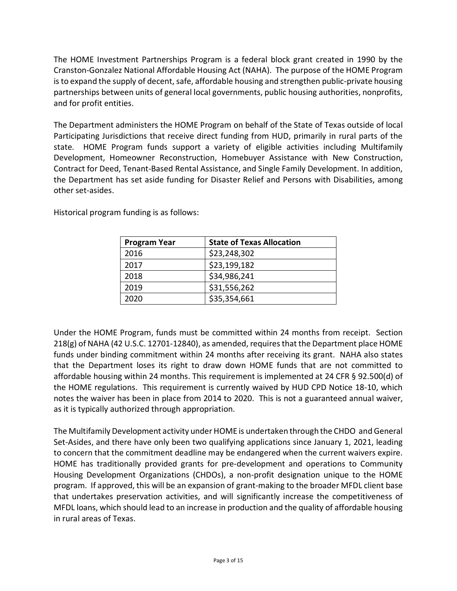The HOME Investment Partnerships Program is a federal block grant created in 1990 by the Cranston-Gonzalez National Affordable Housing Act (NAHA). The purpose of the HOME Program is to expand the supply of decent, safe, affordable housing and strengthen public-private housing partnerships between units of general local governments, public housing authorities, nonprofits, and for profit entities.

The Department administers the HOME Program on behalf of the State of Texas outside of local Participating Jurisdictions that receive direct funding from HUD, primarily in rural parts of the state. HOME Program funds support a variety of eligible activities including Multifamily Development, Homeowner Reconstruction, Homebuyer Assistance with New Construction, Contract for Deed, Tenant-Based Rental Assistance, and Single Family Development. In addition, the Department has set aside funding for Disaster Relief and Persons with Disabilities, among other set-asides.

| <b>Program Year</b> | <b>State of Texas Allocation</b> |
|---------------------|----------------------------------|
| 2016                | \$23,248,302                     |
| 2017                | \$23,199,182                     |
| 2018                | \$34,986,241                     |
| 2019                | \$31,556,262                     |
| 2020                | \$35,354,661                     |

Historical program funding is as follows:

Under the HOME Program, funds must be committed within 24 months from receipt. Section 218(g) of NAHA (42 U.S.C. 12701-12840), as amended, requires that the Department place HOME funds under binding commitment within 24 months after receiving its grant. NAHA also states that the Department loses its right to draw down HOME funds that are not committed to affordable housing within 24 months. This requirement is implemented at 24 CFR § 92.500(d) of the HOME regulations. This requirement is currently waived by HUD CPD Notice 18-10, which notes the waiver has been in place from 2014 to 2020. This is not a guaranteed annual waiver, as it is typically authorized through appropriation.

The Multifamily Development activity under HOME is undertaken through the CHDO and General Set-Asides, and there have only been two qualifying applications since January 1, 2021, leading to concern that the commitment deadline may be endangered when the current waivers expire. HOME has traditionally provided grants for pre-development and operations to Community Housing Development Organizations (CHDOs), a non-profit designation unique to the HOME program. If approved, this will be an expansion of grant-making to the broader MFDL client base that undertakes preservation activities, and will significantly increase the competitiveness of MFDL loans, which should lead to an increase in production and the quality of affordable housing in rural areas of Texas.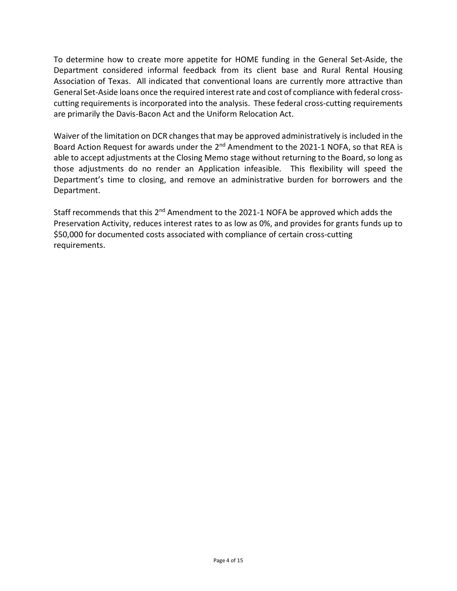To determine how to create more appetite for HOME funding in the General Set-Aside, the Department considered informal feedback from its client base and Rural Rental Housing Association of Texas. All indicated that conventional loans are currently more attractive than General Set-Aside loans once the required interest rate and cost of compliance with federal crosscutting requirements is incorporated into the analysis. These federal cross-cutting requirements are primarily the Davis-Bacon Act and the Uniform Relocation Act.

Waiver of the limitation on DCR changes that may be approved administratively is included in the Board Action Request for awards under the 2<sup>nd</sup> Amendment to the 2021-1 NOFA, so that REA is able to accept adjustments at the Closing Memo stage without returning to the Board, so long as those adjustments do no render an Application infeasible. This flexibility will speed the Department's time to closing, and remove an administrative burden for borrowers and the Department.

Staff recommends that this 2<sup>nd</sup> Amendment to the 2021-1 NOFA be approved which adds the Preservation Activity, reduces interest rates to as low as 0%, and provides for grants funds up to \$50,000 for documented costs associated with compliance of certain cross-cutting requirements.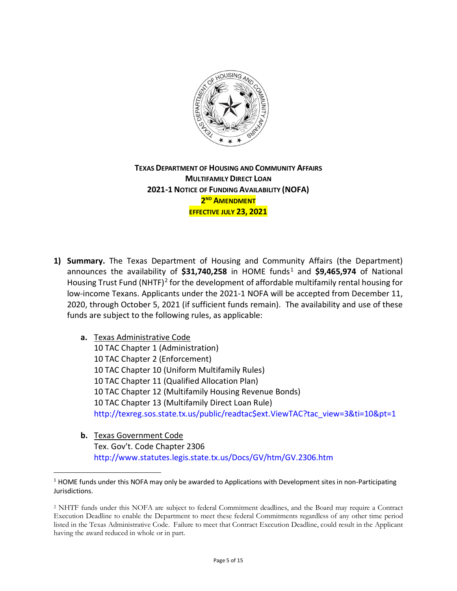

**TEXAS DEPARTMENT OF HOUSING AND COMMUNITY AFFAIRS MULTIFAMILY DIRECT LOAN 2021-1 NOTICE OF FUNDING AVAILABILITY (NOFA) 2ND AMENDMENT EFFECTIVE JULY 23, 2021**

- **1) Summary.** The Texas Department of Housing and Community Affairs (the Department) announces the availability of \$3[1](#page-4-0),740,258 in HOME funds<sup>1</sup> and \$9,465,974 of National Housing Trust Fund (NHTF)<sup>[2](#page-4-1)</sup> for the development of affordable multifamily rental housing for low-income Texans. Applicants under the 2021-1 NOFA will be accepted from December 11, 2020, through October 5, 2021 (if sufficient funds remain). The availability and use of these funds are subject to the following rules, as applicable:
	- **a.** Texas Administrative Code 10 TAC Chapter 1 (Administration) 10 TAC Chapter 2 (Enforcement) 10 TAC Chapter 10 (Uniform Multifamily Rules) 10 TAC Chapter 11 (Qualified Allocation Plan) 10 TAC Chapter 12 (Multifamily Housing Revenue Bonds) 10 TAC Chapter 13 (Multifamily Direct Loan Rule) [http://texreg.sos.state.tx.us/public/readtac\\$ext.ViewTAC?tac\\_view=3&ti=10&pt=1](http://texreg.sos.state.tx.us/public/readtac$ext.ViewTAC?tac_view=3&ti=10&pt=1)
	- **b.** Texas Government Code Tex. Gov't. Code Chapter 2306 <http://www.statutes.legis.state.tx.us/Docs/GV/htm/GV.2306.htm>

 $\overline{a}$ 

<span id="page-4-0"></span> $<sup>1</sup>$  HOME funds under this NOFA may only be awarded to Applications with Development sites in non-Participating</sup> Jurisdictions.

<span id="page-4-1"></span><sup>2</sup> NHTF funds under this NOFA are subject to federal Commitment deadlines, and the Board may require a Contract Execution Deadline to enable the Department to meet these federal Commitments regardless of any other time period listed in the Texas Administrative Code. Failure to meet that Contract Execution Deadline, could result in the Applicant having the award reduced in whole or in part.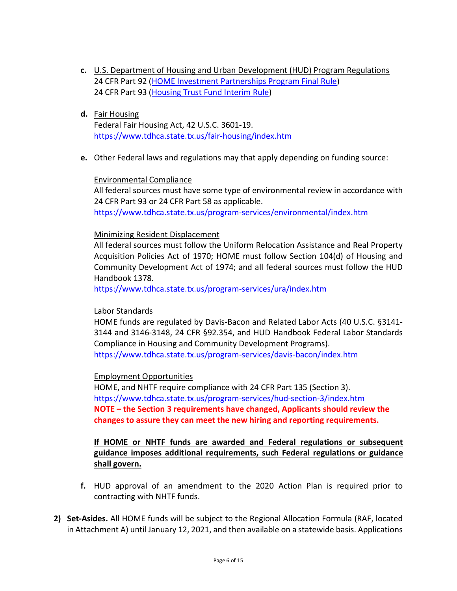- **c.** U.S. Department of Housing and Urban Development (HUD) Program Regulations 24 CFR Part 92 [\(HOME Investment Partnerships Program Final Rule\)](http://www.ecfr.gov/cgi-bin/text-idx?c=ecfr&tpl=/ecfrbrowse/Title24/24cfr92_main_02.tpl) 24 CFR Part 93 [\(Housing Trust Fund Interim Rule\)](http://www.ecfr.gov/cgi-bin/text-idx?SID=222584118d192eb177d111b97b45cda8&mc=true&tpl=/ecfrbrowse/Title24/24cfr93_main_02.tpl)
- **d.** Fair Housing

 Federal Fair Housing Act, 42 U.S.C. 3601-19. <https://www.tdhca.state.tx.us/fair-housing/index.htm>

**e.** Other Federal laws and regulations may that apply depending on funding source:

### Environmental Compliance

All federal sources must have some type of environmental review in accordance with 24 CFR Part 93 or 24 CFR Part 58 as applicable.

<https://www.tdhca.state.tx.us/program-services/environmental/index.htm>

### Minimizing Resident Displacement

All federal sources must follow the Uniform Relocation Assistance and Real Property Acquisition Policies Act of 1970; HOME must follow Section 104(d) of Housing and Community Development Act of 1974; and all federal sources must follow the HUD Handbook 1378.

<https://www.tdhca.state.tx.us/program-services/ura/index.htm>

### Labor Standards

HOME funds are regulated by Davis-Bacon and Related Labor Acts (40 U.S.C. §3141- 3144 and 3146-3148, 24 CFR §92.354, and HUD Handbook Federal Labor Standards Compliance in Housing and Community Development Programs).

<https://www.tdhca.state.tx.us/program-services/davis-bacon/index.htm>

### Employment Opportunities

HOME, and NHTF require compliance with 24 CFR Part 135 (Section 3). <https://www.tdhca.state.tx.us/program-services/hud-section-3/index.htm> **NOTE – the Section 3 requirements have changed, Applicants should review the changes to assure they can meet the new hiring and reporting requirements.**

### **If HOME or NHTF funds are awarded and Federal regulations or subsequent guidance imposes additional requirements, such Federal regulations or guidance shall govern.**

- **f.** HUD approval of an amendment to the 2020 Action Plan is required prior to contracting with NHTF funds.
- **2) Set-Asides.** All HOME funds will be subject to the Regional Allocation Formula (RAF, located in Attachment A) until January 12, 2021, and then available on a statewide basis. Applications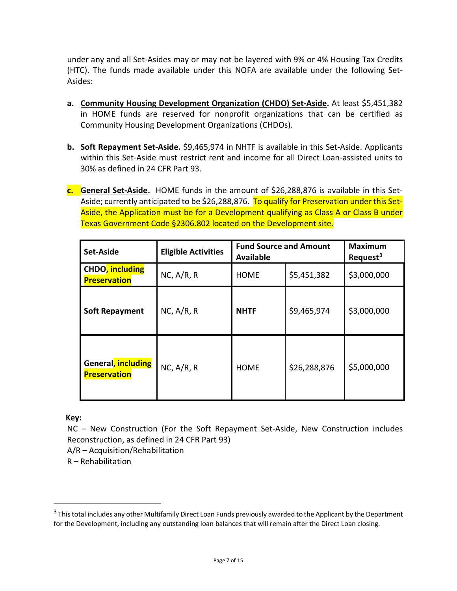under any and all Set-Asides may or may not be layered with 9% or 4% Housing Tax Credits (HTC). The funds made available under this NOFA are available under the following Set-Asides:

- **a. Community Housing Development Organization (CHDO) Set-Aside.** At least \$5,451,382 in HOME funds are reserved for nonprofit organizations that can be certified as Community Housing Development Organizations (CHDOs).
- **b. Soft Repayment Set-Aside.** \$9,465,974 in NHTF is available in this Set-Aside. Applicants within this Set-Aside must restrict rent and income for all Direct Loan-assisted units to 30% as defined in 24 CFR Part 93.
- **c. General Set-Aside.** HOME funds in the amount of \$26,288,876 is available in this Set-Aside; currently anticipated to be \$26,288,876. To qualify for Preservation under this Set-Aside, the Application must be for a Development qualifying as Class A or Class B under Texas Government Code §2306.802 located on the Development site.

| <b>Set-Aside</b>                          | <b>Eligible Activities</b> | <b>Fund Source and Amount</b><br><b>Available</b> |              | <b>Maximum</b><br>Request <sup>3</sup> |
|-------------------------------------------|----------------------------|---------------------------------------------------|--------------|----------------------------------------|
| CHDO, including<br><b>Preservation</b>    | NC, A/R, R                 | <b>HOME</b>                                       | \$5,451,382  | \$3,000,000                            |
| <b>Soft Repayment</b>                     | NC, A/R, R                 | <b>NHTF</b>                                       | \$9,465,974  | \$3,000,000                            |
| General, including<br><b>Preservation</b> | NC, A/R, R                 | <b>HOME</b>                                       | \$26,288,876 | \$5,000,000                            |

**Key:**

 $\overline{a}$ 

NC – New Construction (For the Soft Repayment Set-Aside, New Construction includes Reconstruction, as defined in 24 CFR Part 93)

A/R – Acquisition/Rehabilitation

R – Rehabilitation

<span id="page-6-0"></span> $3$  This total includes any other Multifamily Direct Loan Funds previously awarded to the Applicant by the Department for the Development, including any outstanding loan balances that will remain after the Direct Loan closing.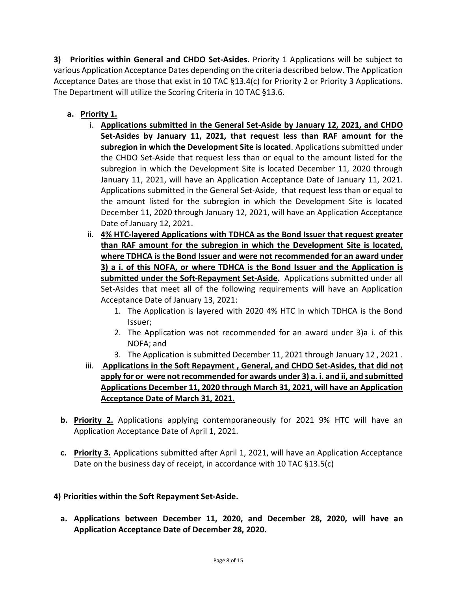**3) Priorities within General and CHDO Set-Asides.** Priority 1 Applications will be subject to various Application Acceptance Dates depending on the criteria described below. The Application Acceptance Dates are those that exist in 10 TAC §13.4(c) for Priority 2 or Priority 3 Applications. The Department will utilize the Scoring Criteria in 10 TAC §13.6.

- **a. Priority 1.**
	- i. **Applications submitted in the General Set-Aside by January 12, 2021, and CHDO Set-Asides by January 11, 2021, that request less than RAF amount for the subregion in which the Development Site is located**. Applications submitted under the CHDO Set-Aside that request less than or equal to the amount listed for the subregion in which the Development Site is located December 11, 2020 through January 11, 2021, will have an Application Acceptance Date of January 11, 2021. Applications submitted in the General Set-Aside, that request less than or equal to the amount listed for the subregion in which the Development Site is located December 11, 2020 through January 12, 2021, will have an Application Acceptance Date of January 12, 2021.
	- ii. **4% HTC-layered Applications with TDHCA as the Bond Issuer that request greater than RAF amount for the subregion in which the Development Site is located, where TDHCA is the Bond Issuer and were not recommended for an award under 3) a i. of this NOFA, or where TDHCA is the Bond Issuer and the Application is submitted under the Soft-Repayment Set-Aside.** Applications submitted under all Set-Asides that meet all of the following requirements will have an Application Acceptance Date of January 13, 2021:
		- 1. The Application is layered with 2020 4% HTC in which TDHCA is the Bond Issuer;
		- 2. The Application was not recommended for an award under 3)a i. of this NOFA; and
		- 3. The Application is submitted December 11, 2021 through January 12 , 2021 .
	- iii. **Applications in the Soft Repayment , General, and CHDO Set-Asides, that did not apply for or were not recommended for awards under 3) a. i. and ii, and submitted Applications December 11, 2020 through March 31, 2021, will have an Application Acceptance Date of March 31, 2021.**
- **b. Priority 2.** Applications applying contemporaneously for 2021 9% HTC will have an Application Acceptance Date of April 1, 2021.
- **c. Priority 3.** Applications submitted after April 1, 2021, will have an Application Acceptance Date on the business day of receipt, in accordance with 10 TAC §13.5(c)

## **4) Priorities within the Soft Repayment Set-Aside.**

**a. Applications between December 11, 2020, and December 28, 2020, will have an Application Acceptance Date of December 28, 2020.**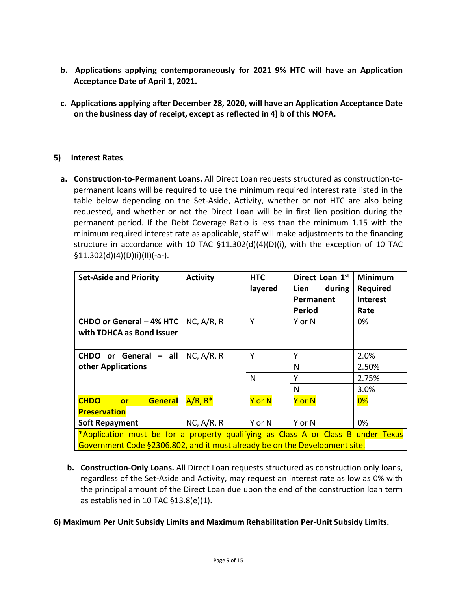- **b. Applications applying contemporaneously for 2021 9% HTC will have an Application Acceptance Date of April 1, 2021.**
- **c. Applications applying after December 28, 2020, will have an Application Acceptance Date on the business day of receipt, except as reflected in 4) b of this NOFA.**

## **5) Interest Rates**.

**a. Construction-to-Permanent Loans.** All Direct Loan requests structured as construction-topermanent loans will be required to use the minimum required interest rate listed in the table below depending on the Set-Aside, Activity, whether or not HTC are also being requested, and whether or not the Direct Loan will be in first lien position during the permanent period. If the Debt Coverage Ratio is less than the minimum 1.15 with the minimum required interest rate as applicable, staff will make adjustments to the financing structure in accordance with 10 TAC  $$11.302(d)(4)(D)(i)$ , with the exception of 10 TAC §11.302(d)(4)(D)(i)(II)(-a-).

| <b>Set-Aside and Priority</b>                                                    | <b>Activity</b> | <b>HTC</b> | Direct Loan 1st | Minimum         |
|----------------------------------------------------------------------------------|-----------------|------------|-----------------|-----------------|
|                                                                                  |                 | layered    | during<br>Lien  | <b>Required</b> |
|                                                                                  |                 |            | Permanent       | <b>Interest</b> |
|                                                                                  |                 |            | Period          | Rate            |
| CHDO or General - 4% HTC                                                         | NC, A/R, R      | Y          | Y or N          | 0%              |
| with TDHCA as Bond Issuer                                                        |                 |            |                 |                 |
|                                                                                  |                 |            |                 |                 |
| CHDO or General - all                                                            | NC, A/R, R      | Y          | Υ               | 2.0%            |
| other Applications                                                               |                 |            | N               | 2.50%           |
|                                                                                  |                 | N          | Υ               | 2.75%           |
|                                                                                  |                 |            | N               | 3.0%            |
| <b>CHDO</b><br><b>General</b><br><b>or</b>                                       | $A/R, R^*$      | Y or N     | Y or N          | 0%              |
| <b>Preservation</b>                                                              |                 |            |                 |                 |
| <b>Soft Repayment</b>                                                            | NC, A/R, R      | Y or N     | Y or N          | 0%              |
| *Application must be for a property qualifying as Class A or Class B under Texas |                 |            |                 |                 |
| Government Code §2306.802, and it must already be on the Development site.       |                 |            |                 |                 |

**b. Construction-Only Loans.** All Direct Loan requests structured as construction only loans, regardless of the Set-Aside and Activity, may request an interest rate as low as 0% with the principal amount of the Direct Loan due upon the end of the construction loan term as established in 10 TAC §13.8(e)(1).

### **6) Maximum Per Unit Subsidy Limits and Maximum Rehabilitation Per-Unit Subsidy Limits.**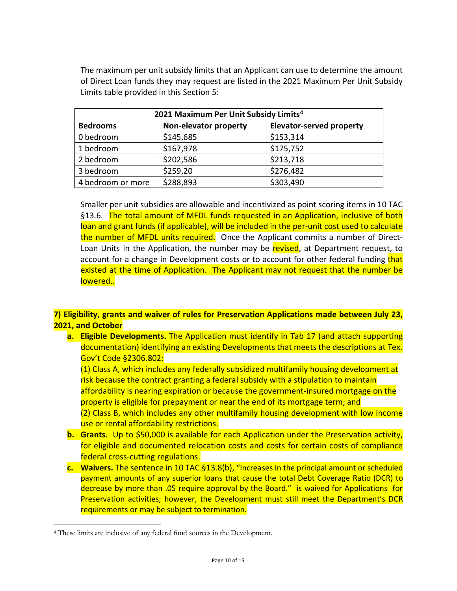The maximum per unit subsidy limits that an Applicant can use to determine the amount of Direct Loan funds they may request are listed in the 2021 Maximum Per Unit Subsidy Limits table provided in this Section 5:

| 2021 Maximum Per Unit Subsidy Limits <sup>4</sup> |                       |                                 |  |
|---------------------------------------------------|-----------------------|---------------------------------|--|
| <b>Bedrooms</b>                                   | Non-elevator property | <b>Elevator-served property</b> |  |
| 0 bedroom                                         | \$145,685             | \$153,314                       |  |
| 1 bedroom                                         | \$167,978             | \$175,752                       |  |
| 2 bedroom                                         | \$202,586             | \$213,718                       |  |
| 3 bedroom                                         | \$259,20              | \$276,482                       |  |
| 4 bedroom or more                                 | \$288,893             | \$303,490                       |  |

Smaller per unit subsidies are allowable and incentivized as point scoring items in 10 TAC §13.6. The total amount of MFDL funds requested in an Application, inclusive of both loan and grant funds (if applicable), will be included in the per-unit cost used to calculate the number of MFDL units required. Once the Applicant commits a number of Direct-Loan Units in the Application, the number may be revised, at Department request, to account for a change in Development costs or to account for other federal funding that existed at the time of Application. The Applicant may not request that the number be lowered..

## **7) Eligibility, grants and waiver of rules for Preservation Applications made between July 23, 2021, and October**

**a. Eligible Developments.** The Application must identify in Tab 17 (and attach supporting documentation) identifying an existing Developments that meets the descriptions at Tex. Gov't Code §2306.802:

(1) Class A, which includes any federally subsidized multifamily housing development at risk because the contract granting a federal subsidy with a stipulation to maintain affordability is nearing expiration or because the government-insured mortgage on the property is eligible for prepayment or near the end of its mortgage term; and (2) Class B, which includes any other multifamily housing development with low income

- use or rental affordability restrictions. **b. Grants.** Up to \$50,000 is available for each Application under the Preservation activity, for eligible and documented relocation costs and costs for certain costs of compliance federal cross-cutting regulations.
- **c. Waivers.** The sentence in 10 TAC §13.8(b), "Increases in the principal amount or scheduled payment amounts of any superior loans that cause the total Debt Coverage Ratio (DCR) to decrease by more than .05 require approval by the Board." is waived for Applications for Preservation activities; however, the Development must still meet the Department's DCR requirements or may be subject to termination.

<span id="page-9-0"></span> <sup>4</sup> These limits are inclusive of any federal fund sources in the Development.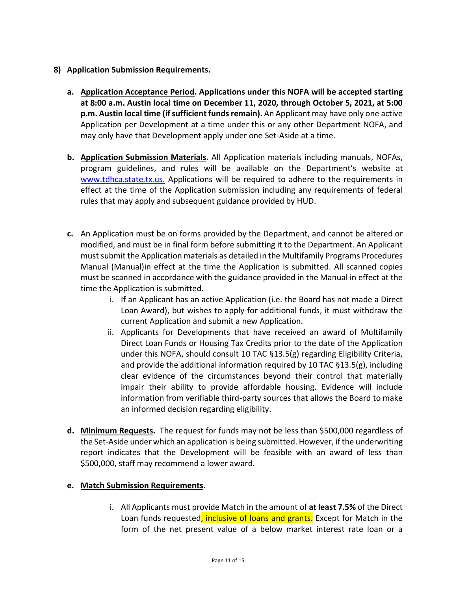- **8) Application Submission Requirements.**
	- **a. Application Acceptance Period. Applications under this NOFA will be accepted starting at 8:00 a.m. Austin local time on December 11, 2020, through October 5, 2021, at 5:00 p.m. Austin local time (if sufficient funds remain).** An Applicant may have only one active Application per Development at a time under this or any other Department NOFA, and may only have that Development apply under one Set-Aside at a time.
	- **b. Application Submission Materials.** All Application materials including manuals, NOFAs, program guidelines, and rules will be available on the Department's website at [www.tdhca.state.tx.us.](http://www.tdhca.state.tx.us./) Applications will be required to adhere to the requirements in effect at the time of the Application submission including any requirements of federal rules that may apply and subsequent guidance provided by HUD.
	- **c.** An Application must be on forms provided by the Department, and cannot be altered or modified, and must be in final form before submitting it to the Department. An Applicant must submit the Application materials as detailed in the Multifamily Programs Procedures Manual (Manual)in effect at the time the Application is submitted. All scanned copies must be scanned in accordance with the guidance provided in the Manual in effect at the time the Application is submitted.
		- i. If an Applicant has an active Application (i.e. the Board has not made a Direct Loan Award), but wishes to apply for additional funds, it must withdraw the current Application and submit a new Application.
		- ii. Applicants for Developments that have received an award of Multifamily Direct Loan Funds or Housing Tax Credits prior to the date of the Application under this NOFA, should consult 10 TAC §13.5(g) regarding Eligibility Criteria, and provide the additional information required by 10 TAC §13.5(g), including clear evidence of the circumstances beyond their control that materially impair their ability to provide affordable housing. Evidence will include information from verifiable third-party sources that allows the Board to make an informed decision regarding eligibility.
	- **d. Minimum Requests.** The request for funds may not be less than \$500,000 regardless of the Set-Aside under which an application is being submitted. However, if the underwriting report indicates that the Development will be feasible with an award of less than \$500,000, staff may recommend a lower award.

## **e. Match Submission Requirements.**

i. All Applicants must provide Match in the amount of **at least 7.5%** of the Direct Loan funds requested, inclusive of loans and grants. Except for Match in the form of the net present value of a below market interest rate loan or a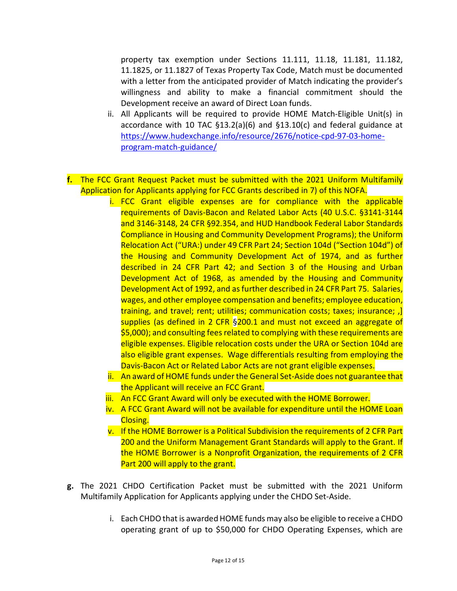property tax exemption under Sections 11.111, 11.18, 11.181, 11.182, 11.1825, or 11.1827 of Texas Property Tax Code, Match must be documented with a letter from the anticipated provider of Match indicating the provider's willingness and ability to make a financial commitment should the Development receive an award of Direct Loan funds.

- ii. All Applicants will be required to provide HOME Match-Eligible Unit(s) in accordance with 10 TAC §13.2(a)(6) and §13.10(c) and federal guidance at [https://www.hudexchange.info/resource/2676/notice-cpd-97-03-home](https://www.hudexchange.info/resource/2676/notice-cpd-97-03-home-program-match-guidance/)[program-match-guidance/](https://www.hudexchange.info/resource/2676/notice-cpd-97-03-home-program-match-guidance/)
- **f.** The FCC Grant Request Packet must be submitted with the 2021 Uniform Multifamily Application for Applicants applying for FCC Grants described in 7) of this NOFA.
	- i. FCC Grant eligible expenses are for compliance with the applicable requirements of Davis-Bacon and Related Labor Acts (40 U.S.C. §3141-3144 and 3146-3148, 24 CFR §92.354, and HUD Handbook Federal Labor Standards Compliance in Housing and Community Development Programs); the Uniform Relocation Act ("URA:) under 49 CFR Part 24; Section 104d ("Section 104d") of the Housing and Community Development Act of 1974, and as further described in 24 CFR Part 42; and Section 3 of the Housing and Urban Development Act of 1968, as amended by the Housing and Community Development Act of 1992, and as further described in 24 CFR Part 75. Salaries, wages, and other employee compensation and benefits; employee education, training, and travel; rent; utilities; communication costs; taxes; insurance; ,] supplies (as defined in 2 CFR §200.1 and must not exceed an aggregate of \$5,000); and consulting fees related to complying with these requirements are eligible expenses. Eligible relocation costs under the URA or Section 104d are also eligible grant expenses. Wage differentials resulting from employing the Davis-Bacon Act or Related Labor Acts are not grant eligible expenses.
	- ii. An award of HOME funds under the General Set-Aside does not guarantee that the Applicant will receive an FCC Grant.
	- iii. An FCC Grant Award will only be executed with the HOME Borrower.
	- iv. A FCC Grant Award will not be available for expenditure until the HOME Loan Closing.
	- v. If the HOME Borrower is a Political Subdivision the requirements of 2 CFR Part 200 and the Uniform Management Grant Standards will apply to the Grant. If the HOME Borrower is a Nonprofit Organization, the requirements of 2 CFR Part 200 will apply to the grant.
- **g.** The 2021 CHDO Certification Packet must be submitted with the 2021 Uniform Multifamily Application for Applicants applying under the CHDO Set-Aside.
	- i. Each CHDO that is awarded HOME funds may also be eligible to receive a CHDO operating grant of up to \$50,000 for CHDO Operating Expenses, which are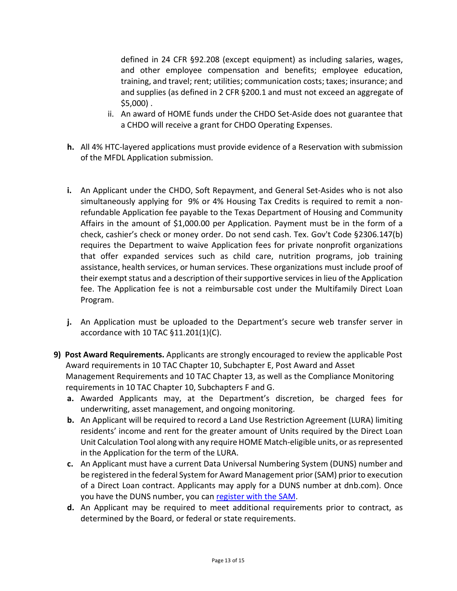defined in 24 CFR §92.208 (except equipment) as including salaries, wages, and other employee compensation and benefits; employee education, training, and travel; rent; utilities; communication costs; taxes; insurance; and and supplies (as defined in 2 CFR §200.1 and must not exceed an aggregate of \$5,000) .

- ii. An award of HOME funds under the CHDO Set-Aside does not guarantee that a CHDO will receive a grant for CHDO Operating Expenses.
- **h.** All 4% HTC-layered applications must provide evidence of a Reservation with submission of the MFDL Application submission.
- **i.** An Applicant under the CHDO, Soft Repayment, and General Set-Asides who is not also simultaneously applying for 9% or 4% Housing Tax Credits is required to remit a nonrefundable Application fee payable to the Texas Department of Housing and Community Affairs in the amount of \$1,000.00 per Application. Payment must be in the form of a check, cashier's check or money order. Do not send cash. Tex. Gov't Code §2306.147(b) requires the Department to waive Application fees for private nonprofit organizations that offer expanded services such as child care, nutrition programs, job training assistance, health services, or human services. These organizations must include proof of their exempt status and a description of their supportive services in lieu of the Application fee. The Application fee is not a reimbursable cost under the Multifamily Direct Loan Program.
- **j.** An Application must be uploaded to the Department's secure web transfer server in accordance with 10 TAC §11.201(1)(C).
- **9) Post Award Requirements.** Applicants are strongly encouraged to review the applicable Post Award requirements in 10 TAC Chapter 10, Subchapter E, Post Award and Asset Management Requirements and 10 TAC Chapter 13, as well as the Compliance Monitoring requirements in 10 TAC Chapter 10, Subchapters F and G.
	- **a.** Awarded Applicants may, at the Department's discretion, be charged fees for underwriting, asset management, and ongoing monitoring.
	- **b.** An Applicant will be required to record a Land Use Restriction Agreement (LURA) limiting residents' income and rent for the greater amount of Units required by the Direct Loan Unit Calculation Tool along with any require HOME Match-eligible units, or as represented in the Application for the term of the LURA.
	- **c.** An Applicant must have a current Data Universal Numbering System (DUNS) number and be registered in the federal System for Award Management prior (SAM) prior to execution of a Direct Loan contract. Applicants may apply for a DUNS number at dnb.com). Once you have the DUNS number, you can [register with the SAM.](https://www.sam.gov/portal/public/SAM/)
	- **d.** An Applicant may be required to meet additional requirements prior to contract, as determined by the Board, or federal or state requirements.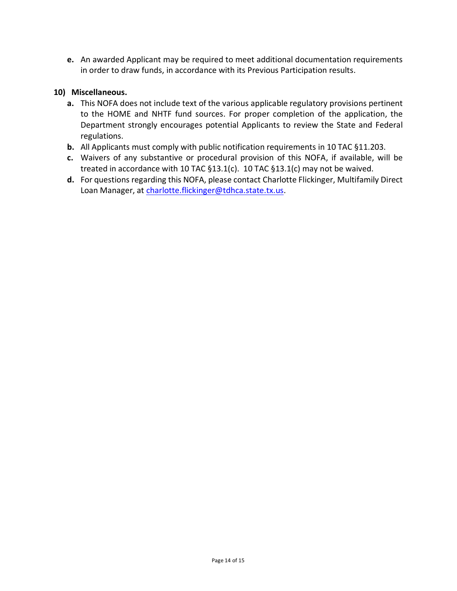**e.** An awarded Applicant may be required to meet additional documentation requirements in order to draw funds, in accordance with its Previous Participation results.

### **10) Miscellaneous.**

- **a.** This NOFA does not include text of the various applicable regulatory provisions pertinent to the HOME and NHTF fund sources. For proper completion of the application, the Department strongly encourages potential Applicants to review the State and Federal regulations.
- **b.** All Applicants must comply with public notification requirements in 10 TAC §11.203.
- **c.** Waivers of any substantive or procedural provision of this NOFA, if available, will be treated in accordance with 10 TAC §13.1(c). 10 TAC §13.1(c) may not be waived.
- **d.** For questions regarding this NOFA, please contact Charlotte Flickinger, Multifamily Direct Loan Manager, at [charlotte.flickinger@tdhca.state.tx.us.](mailto:andrew.sinnott@tdhca.state.tx.us)